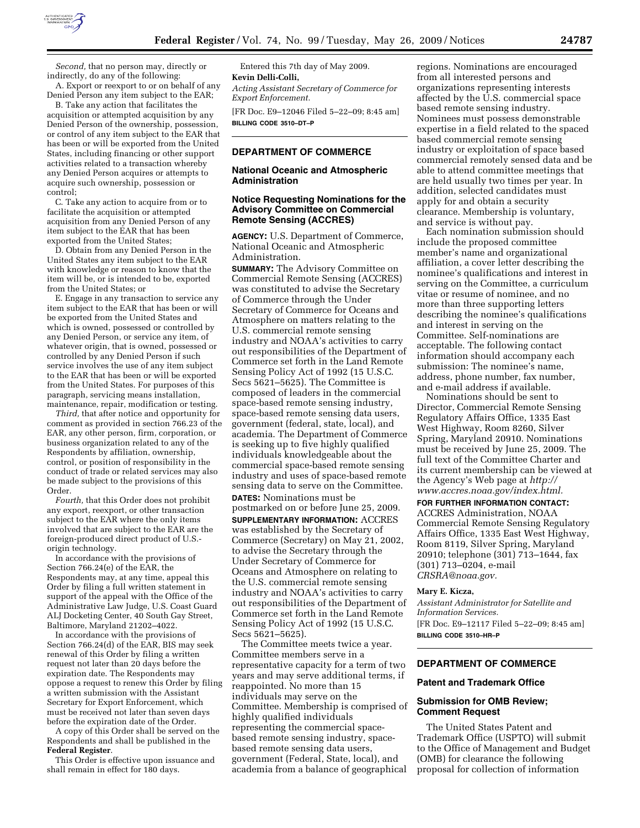

*Second,* that no person may, directly or indirectly, do any of the following:

A. Export or reexport to or on behalf of any Denied Person any item subject to the EAR;

B. Take any action that facilitates the acquisition or attempted acquisition by any Denied Person of the ownership, possession, or control of any item subject to the EAR that has been or will be exported from the United States, including financing or other support activities related to a transaction whereby any Denied Person acquires or attempts to acquire such ownership, possession or control;

C. Take any action to acquire from or to facilitate the acquisition or attempted acquisition from any Denied Person of any item subject to the EAR that has been exported from the United States;

D. Obtain from any Denied Person in the United States any item subject to the EAR with knowledge or reason to know that the item will be, or is intended to be, exported from the United States; or

E. Engage in any transaction to service any item subject to the EAR that has been or will be exported from the United States and which is owned, possessed or controlled by any Denied Person, or service any item, of whatever origin, that is owned, possessed or controlled by any Denied Person if such service involves the use of any item subject to the EAR that has been or will be exported from the United States. For purposes of this paragraph, servicing means installation, maintenance, repair, modification or testing.

*Third,* that after notice and opportunity for comment as provided in section 766.23 of the EAR, any other person, firm, corporation, or business organization related to any of the Respondents by affiliation, ownership, control, or position of responsibility in the conduct of trade or related services may also be made subject to the provisions of this Order.

*Fourth,* that this Order does not prohibit any export, reexport, or other transaction subject to the EAR where the only items involved that are subject to the EAR are the foreign-produced direct product of U.S. origin technology.

In accordance with the provisions of Section 766.24(e) of the EAR, the Respondents may, at any time, appeal this Order by filing a full written statement in support of the appeal with the Office of the Administrative Law Judge, U.S. Coast Guard ALJ Docketing Center, 40 South Gay Street, Baltimore, Maryland 21202–4022.

In accordance with the provisions of Section 766.24(d) of the EAR, BIS may seek renewal of this Order by filing a written request not later than 20 days before the expiration date. The Respondents may oppose a request to renew this Order by filing a written submission with the Assistant Secretary for Export Enforcement, which must be received not later than seven days before the expiration date of the Order.

A copy of this Order shall be served on the Respondents and shall be published in the **Federal Register**.

This Order is effective upon issuance and shall remain in effect for 180 days.

Entered this 7th day of May 2009. **Kevin Delli-Colli,**  *Acting Assistant Secretary of Commerce for Export Enforcement.* 

[FR Doc. E9–12046 Filed 5–22–09; 8:45 am] **BILLING CODE 3510–DT–P** 

# **DEPARTMENT OF COMMERCE**

## **National Oceanic and Atmospheric Administration**

# **Notice Requesting Nominations for the Advisory Committee on Commercial Remote Sensing (ACCRES)**

**AGENCY:** U.S. Department of Commerce, National Oceanic and Atmospheric Administration.

**SUMMARY:** The Advisory Committee on Commercial Remote Sensing (ACCRES) was constituted to advise the Secretary of Commerce through the Under Secretary of Commerce for Oceans and Atmosphere on matters relating to the U.S. commercial remote sensing industry and NOAA's activities to carry out responsibilities of the Department of Commerce set forth in the Land Remote Sensing Policy Act of 1992 (15 U.S.C. Secs 5621–5625). The Committee is composed of leaders in the commercial space-based remote sensing industry, space-based remote sensing data users, government (federal, state, local), and academia. The Department of Commerce is seeking up to five highly qualified individuals knowledgeable about the commercial space-based remote sensing industry and uses of space-based remote sensing data to serve on the Committee. **DATES:** Nominations must be postmarked on or before June 25, 2009. **SUPPLEMENTARY INFORMATION:** ACCRES was established by the Secretary of Commerce (Secretary) on May 21, 2002, to advise the Secretary through the Under Secretary of Commerce for Oceans and Atmosphere on relating to the U.S. commercial remote sensing industry and NOAA's activities to carry out responsibilities of the Department of Commerce set forth in the Land Remote Sensing Policy Act of 1992 (15 U.S.C. Secs 5621–5625).

The Committee meets twice a year. Committee members serve in a representative capacity for a term of two years and may serve additional terms, if reappointed. No more than 15 individuals may serve on the Committee. Membership is comprised of highly qualified individuals representing the commercial spacebased remote sensing industry, spacebased remote sensing data users, government (Federal, State, local), and academia from a balance of geographical

regions. Nominations are encouraged from all interested persons and organizations representing interests affected by the U.S. commercial space based remote sensing industry. Nominees must possess demonstrable expertise in a field related to the spaced based commercial remote sensing industry or exploitation of space based commercial remotely sensed data and be able to attend committee meetings that are held usually two times per year. In addition, selected candidates must apply for and obtain a security clearance. Membership is voluntary, and service is without pay.

Each nomination submission should include the proposed committee member's name and organizational affiliation, a cover letter describing the nominee's qualifications and interest in serving on the Committee, a curriculum vitae or resume of nominee, and no more than three supporting letters describing the nominee's qualifications and interest in serving on the Committee. Self-nominations are acceptable. The following contact information should accompany each submission: The nominee's name, address, phone number, fax number, and e-mail address if available.

Nominations should be sent to Director, Commercial Remote Sensing Regulatory Affairs Office, 1335 East West Highway, Room 8260, Silver Spring, Maryland 20910. Nominations must be received by June 25, 2009. The full text of the Committee Charter and its current membership can be viewed at the Agency's Web page at *http:// www.accres.noaa.gov/index.html.* 

## **FOR FURTHER INFORMATION CONTACT:**

ACCRES Administration, NOAA Commercial Remote Sensing Regulatory Affairs Office, 1335 East West Highway, Room 8119, Silver Spring, Maryland 20910; telephone (301) 713–1644, fax (301) 713–0204, e-mail *CRSRA@noaa.gov.* 

### **Mary E. Kicza,**

*Assistant Administrator for Satellite and Information Services.*  [FR Doc. E9–12117 Filed 5–22–09; 8:45 am] **BILLING CODE 3510–HR–P** 

# **DEPARTMENT OF COMMERCE**

## **Patent and Trademark Office**

# **Submission for OMB Review; Comment Request**

The United States Patent and Trademark Office (USPTO) will submit to the Office of Management and Budget (OMB) for clearance the following proposal for collection of information